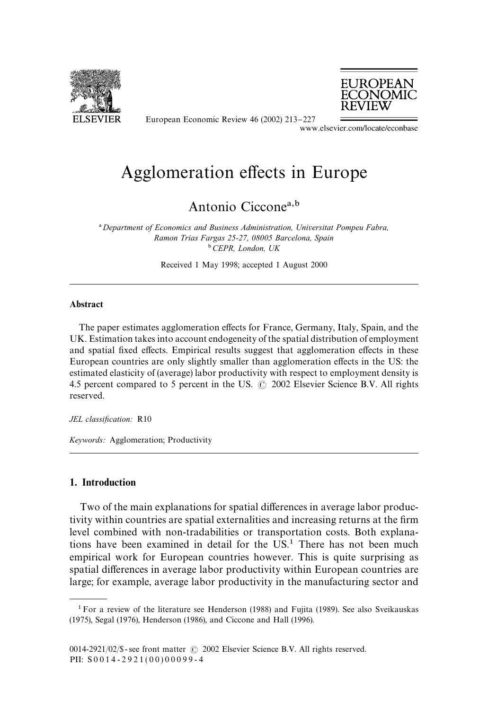



European Economic Review 46 (2002) 213-227 www.elsevier.com/locate/econbase

# Agglomeration effects in Europe

# Antonio Ciccone<sup>a, b</sup>

 *Department of Economics and Business Administration, Universitat Pompeu Fabra, Ramon Trias Fargas 25-27, 08005 Barcelona, Spain* - *CEPR, London, UK*

Received 1 May 1998; accepted 1 August 2000

## Abstract

The paper estimates agglomeration effects for France, Germany, Italy, Spain, and the UK. Estimation takes into account endogeneity of the spatial distribution of employment and spatial fixed effects. Empirical results suggest that agglomeration effects in these European countries are only slightly smaller than agglomeration effects in the US: the estimated elasticity of (average) labor productivity with respect to employment density is 4.5 percent compared to 5 percent in the US.  $\odot$  2002 Elsevier Science B.V. All rights reserved.

*JEL classification:* R10

*Keywords:* Agglomeration; Productivity

## 1. Introduction

Two of the main explanations for spatial differences in average labor productivity within countries are spatial externalities and increasing returns at the firm level combined with non-tradabilities or transportation costs. Both explanations have been examined in detail for the US.<sup>1</sup> There has not been much empirical work for European countries however. This is quite surprising as spatial differences in average labor productivity within European countries are large; for example, average labor productivity in the manufacturing sector and

For a review of the literature see Henderson (1988) and Fujita (1989). See also Sveikauskas (1975), Segal (1976), Henderson (1986), and Ciccone and Hall (1996).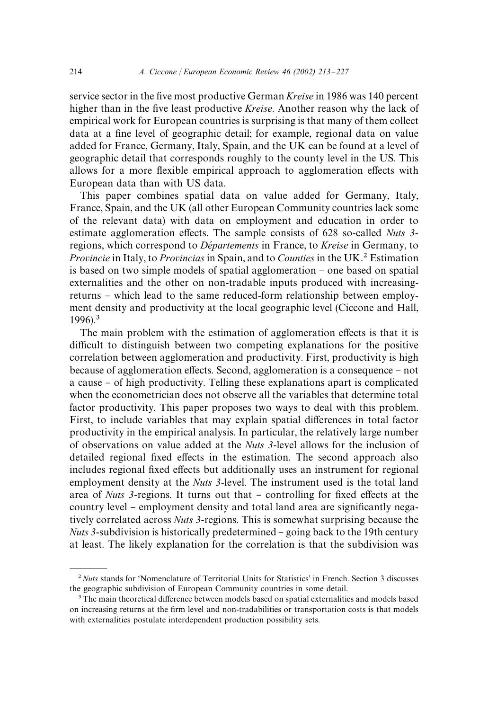service sector in the five most productive German *Kreise* in 1986 was 140 percent higher than in the five least productive *Kreise*. Another reason why the lack of empirical work for European countries is surprising is that many of them collect data at a fine level of geographic detail; for example, regional data on value added for France, Germany, Italy, Spain, and the UK can be found at a level of geographic detail that corresponds roughly to the county level in the US. This allows for a more flexible empirical approach to agglomeration effects with European data than with US data.

This paper combines spatial data on value added for Germany, Italy, France, Spain, and the UK (all other European Community countries lack some of the relevant data) with data on employment and education in order to estimate agglomeration effects. The sample consists of 628 so-called *Nuts 3*regions, which correspond to *Départements* in France, to *Kreise* in Germany, to *Provincie* in Italy, to *Provincias* in Spain, and to *Counties* in the UK.<sup>2</sup> Estimation is based on two simple models of spatial agglomeration – one based on spatial externalities and the other on non-tradable inputs produced with increasingreturns – which lead to the same reduced-form relationship between employment density and productivity at the local geographic level (Ciccone and Hall,  $1996$ .<sup>3</sup>

The main problem with the estimation of agglomeration effects is that it is difficult to distinguish between two competing explanations for the positive correlation between agglomeration and productivity. First, productivity is high because of agglomeration effects. Second, agglomeration is a consequence - not a cause – of high productivity. Telling these explanations apart is complicated when the econometrician does not observe all the variables that determine total factor productivity. This paper proposes two ways to deal with this problem. First, to include variables that may explain spatial differences in total factor productivity in the empirical analysis. In particular, the relatively large number of observations on value added at the *Nuts 3*-level allows for the inclusion of detailed regional fixed effects in the estimation. The second approach also includes regional fixed effects but additionally uses an instrument for regional employment density at the *Nuts 3*-level. The instrument used is the total land area of *Nuts 3*-regions. It turns out that – controlling for fixed effects at the country level – employment density and total land area are significantly negatively correlated across *Nuts 3*-regions. This is somewhat surprising because the *Nuts 3*-subdivision is historically predetermined – going back to the 19th century at least. The likely explanation for the correlation is that the subdivision was

 $N$ uts stands for 'Nomenclature of Territorial Units for Statistics' in French. Section 3 discusses the geographic subdivision of European Community countries in some detail.

 $3$  The main theoretical difference between models based on spatial externalities and models based on increasing returns at the firm level and non-tradabilities or transportation costs is that models with externalities postulate interdependent production possibility sets.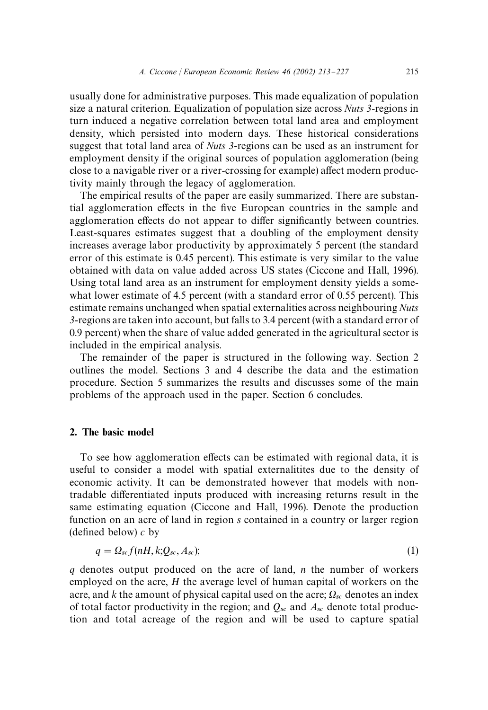usually done for administrative purposes. This made equalization of population size a natural criterion. Equalization of population size across *Nuts 3*-regions in turn induced a negative correlation between total land area and employment density, which persisted into modern days. These historical considerations suggest that total land area of *Nuts 3*-regions can be used as an instrument for employment density if the original sources of population agglomeration (being close to a navigable river or a river-crossing for example) affect modern productivity mainly through the legacy of agglomeration.

The empirical results of the paper are easily summarized. There are substantial agglomeration effects in the five European countries in the sample and agglomeration effects do not appear to differ significantly between countries. Least-squares estimates suggest that a doubling of the employment density increases average labor productivity by approximately 5 percent (the standard error of this estimate is 0.45 percent). This estimate is very similar to the value obtained with data on value added across US states (Ciccone and Hall, 1996). Using total land area as an instrument for employment density yields a somewhat lower estimate of 4.5 percent (with a standard error of 0.55 percent). This estimate remains unchanged when spatial externalities across neighbouring *Nuts 3*-regions are taken into account, but falls to 3.4 percent (with a standard error of 0.9 percent) when the share of value added generated in the agricultural sector is included in the empirical analysis.

The remainder of the paper is structured in the following way. Section 2 outlines the model. Sections 3 and 4 describe the data and the estimation procedure. Section 5 summarizes the results and discusses some of the main problems of the approach used in the paper. Section 6 concludes.

# 2. The basic model

To see how agglomeration effects can be estimated with regional data, it is useful to consider a model with spatial externalitites due to the density of economic activity. It can be demonstrated however that models with nontradable differentiated inputs produced with increasing returns result in the same estimating equation (Ciccone and Hall, 1996). Denote the production function on an acre of land in region *s* contained in a country or larger region (defined below)  $c$  by

$$
q = \Omega_{sc} f(nH, k; Q_{sc}, A_{sc});
$$
\n(1)

*q* denotes output produced on the acre of land, *n* the number of workers employed on the acre, *H* the average level of human capital of workers on the acre, and  $k$  the amount of physical capital used on the acre;  $\Omega_{\rm sc}$  denotes an index of total factor productivity in the region; and  $Q_{\rm sc}$  and  $A_{\rm sc}$  denote total production and total acreage of the region and will be used to capture spatial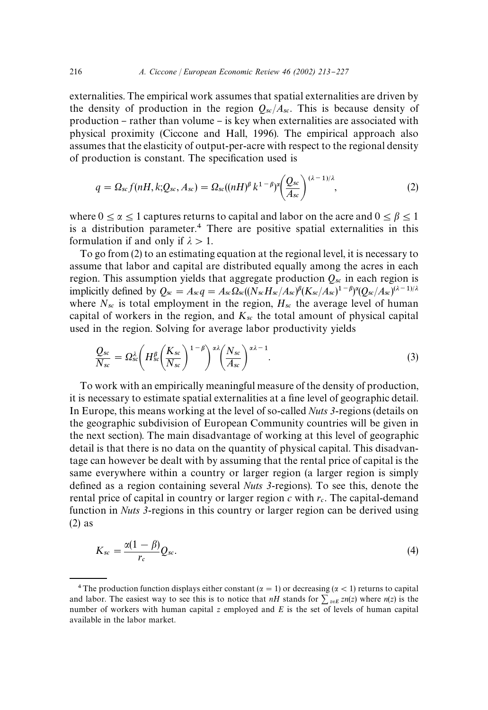externalities. The empirical work assumes that spatial externalities are driven by the density of production in the region  $Q_{\rm sc}/A_{\rm sc}$ . This is because density of  $production - rather than volume - is key when externalities are associated with$ physical proximity (Ciccone and Hall, 1996). The empirical approach also assumes that the elasticity of output-per-acre with respect to the regional density of production is constant. The specification used is

$$
q = \Omega_{sc} f(nH, k; Q_{sc}, A_{sc}) = \Omega_{sc} ((nH)^{\beta} k^{1-\beta})^{\alpha} \left(\frac{Q_{sc}}{A_{sc}}\right)^{(\lambda-1)/\lambda}, \tag{2}
$$

where  $0 \le \alpha \le 1$  captures returns to capital and labor on the acre and  $0 \le \beta \le 1$ is a distribution parameter.<sup>4</sup> There are positive spatial externalities in this formulation if and only if  $\lambda > 1$ .

To go from (2) to an estimating equation at the regional level, it is necessary to assume that labor and capital are distributed equally among the acres in each region. This assumption yields that aggregate production  $Q_{\text{sc}}$  in each region is implicitly defined by  $Q_{sc} = A_{sc}q = A_{sc}\Omega_{sc}((N_{sc}H_{sc}/A_{sc})^{\beta}(K_{sc}/A_{sc})^{1-\beta})^{\alpha}(Q_{sc}/A_{sc})^{(\lambda-1)/\lambda}$ where  $N_{sc}$  is total employment in the region,  $H_{sc}$  the average level of human capital of workers in the region, and  $K_{sc}$  the total amount of physical capital used in the region. Solving for average labor productivity yields

$$
\frac{Q_{sc}}{N_{sc}} = \Omega_{sc}^{\lambda} \left( H_{sc}^{\beta} \left( \frac{K_{sc}}{N_{sc}} \right)^{1-\beta} \right)^{\alpha \lambda} \left( \frac{N_{sc}}{A_{sc}} \right)^{\alpha \lambda - 1}.
$$
\n(3)

To work with an empirically meaningful measure of the density of production, it is necessary to estimate spatial externalities at a fine level of geographic detail. In Europe, this means working at the level of so-called *Nuts 3*-regions (details on the geographic subdivision of European Community countries will be given in the next section). The main disadvantage of working at this level of geographic detail is that there is no data on the quantity of physical capital. This disadvantage can however be dealt with by assuming that the rental price of capital is the same everywhere within a country or larger region (a larger region is simply defined as a region containing several *Nuts 3*-regions). To see this, denote the rental price of capital in country or larger region  $c$  with  $r_c$ . The capital-demand function in *Nuts 3*-regions in this country or larger region can be derived using (2) as

$$
K_{sc} = \frac{\alpha(1-\beta)}{r_c} Q_{sc}.
$$
 (4)

<sup>&</sup>lt;sup>4</sup> The production function displays either constant ( $\alpha = 1$ ) or decreasing ( $\alpha < 1$ ) returns to capital and labor. The easiest way to see this is to notice that *nH* stands for  $\sum_{z \in E} zn(z)$  where  $n(z)$  is the number of workers with human capital *z* employed and *E* is the set of levels of human capital available in the labor market.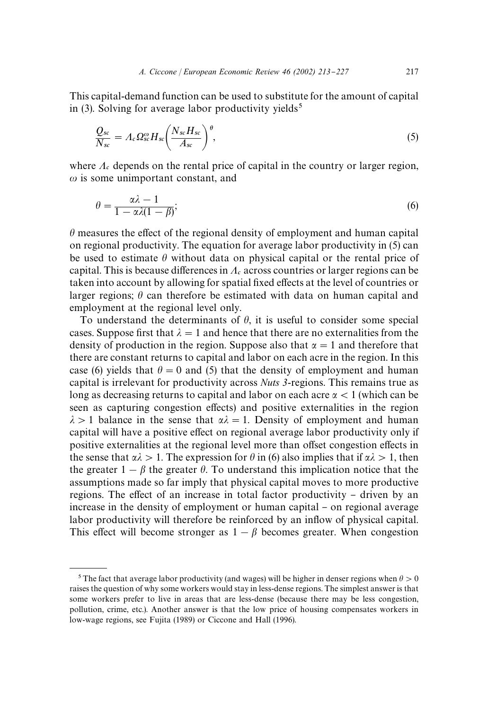This capital-demand function can be used to substitute for the amount of capital in (3). Solving for average labor productivity yields<sup>5</sup>

$$
\frac{Q_{sc}}{N_{sc}} = A_c \Omega_{sc}^{\omega} H_{sc} \left( \frac{N_{sc} H_{sc}}{A_{sc}} \right)^{\theta},\tag{5}
$$

where  $A_c$  depends on the rental price of capital in the country or larger region,  $\omega$  is some unimportant constant, and

$$
\theta = \frac{\alpha \lambda - 1}{1 - \alpha \lambda (1 - \beta)};
$$
\n(6)

 $\theta$  measures the effect of the regional density of employment and human capital on regional productivity. The equation for average labor productivity in (5) can be used to estimate  $\theta$  without data on physical capital or the rental price of capital. This is because differences in  $\Lambda_c$  across countries or larger regions can be taken into account by allowing for spatial fixed effects at the level of countries or larger regions;  $\theta$  can therefore be estimated with data on human capital and employment at the regional level only.

To understand the determinants of  $\theta$ , it is useful to consider some special cases. Suppose first that  $\lambda = 1$  and hence that there are no externalities from the density of production in the region. Suppose also that  $\alpha = 1$  and therefore that there are constant returns to capital and labor on each acre in the region. In this case (6) yields that  $\theta = 0$  and (5) that the density of employment and human capital is irrelevant for productivity across *Nuts 3*-regions. This remains true as long as decreasing returns to capital and labor on each acre  $\alpha$  < 1 (which can be seen as capturing congestion effects) and positive externalities in the region  $\lambda > 1$  balance in the sense that  $\alpha \lambda = 1$ . Density of employment and human capital will have a positive effect on regional average labor productivity only if positive externalities at the regional level more than offset congestion effects in the sense that  $\alpha \lambda > 1$ . The expression for  $\theta$  in (6) also implies that if  $\alpha \lambda > 1$ , then the greater  $1 - \beta$  the greater  $\theta$ . To understand this implication notice that the assumptions made so far imply that physical capital moves to more productive regions. The effect of an increase in total factor productivity  $-$  driven by an increase in the density of employment or human capital – on regional average labor productivity will therefore be reinforced by an inflow of physical capital. This effect will become stronger as  $1 - \beta$  becomes greater. When congestion

<sup>&</sup>lt;sup>5</sup> The fact that average labor productivity (and wages) will be higher in denser regions when  $\theta > 0$ raises the question of why some workers would stay in less-dense regions. The simplest answer is that some workers prefer to live in areas that are less-dense (because there may be less congestion, pollution, crime, etc.). Another answer is that the low price of housing compensates workers in low-wage regions, see Fujita (1989) or Ciccone and Hall (1996).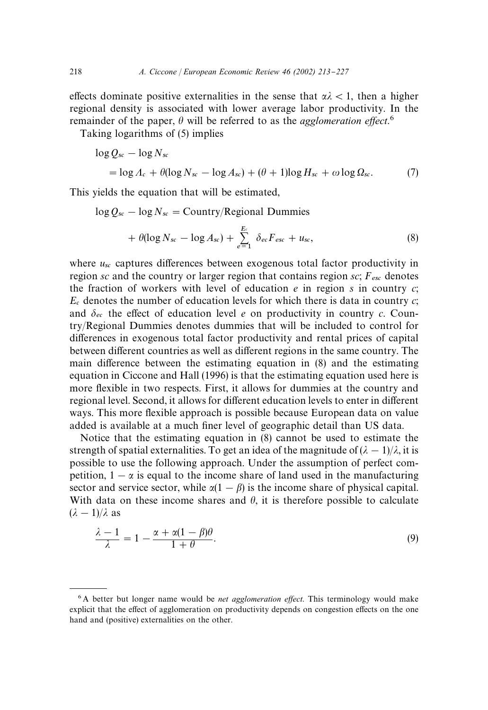effects dominate positive externalities in the sense that  $\alpha \lambda < 1$ , then a higher regional density is associated with lower average labor productivity. In the remainder of the paper,  $\theta$  will be referred to as the *agglomeration effect*.<sup>6</sup>

Taking logarithms of (5) implies

$$
\log Q_{sc} - \log N_{sc}
$$
  
=  $\log \Lambda_c + \theta(\log N_{sc} - \log \Lambda_{sc}) + (\theta + 1)\log H_{sc} + \omega \log \Omega_{sc}.$  (7)

This yields the equation that will be estimated,

$$
\log Q_{sc} - \log N_{sc} = \text{Country/Regional Dummies}
$$
  
+  $\theta(\log N_{sc} - \log A_{sc}) + \sum_{e=1}^{E_c} \delta_{ec} F_{esc} + u_{sc},$  (8)

where  $u_{sc}$  captures differences between exogenous total factor productivity in region *sc* and the country or larger region that contains region *sc*; *F*- denotes the fraction of workers with level of education *e* in region *s* in country *c*;  $E_c$  denotes the number of education levels for which there is data in country  $c$ ; and  $\delta_{ee}$  the effect of education level *e* on productivity in country *c*. Country/Regional Dummies denotes dummies that will be included to control for differences in exogenous total factor productivity and rental prices of capital between different countries as well as different regions in the same country. The main difference between the estimating equation in (8) and the estimating equation in Ciccone and Hall (1996) is that the estimating equation used here is more flexible in two respects. First, it allows for dummies at the country and regional level. Second, it allows for different education levels to enter in different ways. This more flexible approach is possible because European data on value added is available at a much finer level of geographic detail than US data.

Notice that the estimating equation in (8) cannot be used to estimate the strength of spatial externalities. To get an idea of the magnitude of  $(\lambda - 1)/\lambda$ , it is possible to use the following approach. Under the assumption of perfect competition,  $1 - \alpha$  is equal to the income share of land used in the manufacturing sector and service sector, while  $\alpha(1 - \beta)$  is the income share of physical capital. With data on these income shares and  $\theta$ , it is therefore possible to calculate  $(\lambda - 1)/\lambda$  as

$$
\frac{\lambda - 1}{\lambda} = 1 - \frac{\alpha + \alpha(1 - \beta)\theta}{1 + \theta}.
$$
\n(9)

<sup>&</sup>lt;sup>6</sup> A better but longer name would be *net agglomeration effect*. This terminology would make explicit that the effect of agglomeration on productivity depends on congestion effects on the one hand and (positive) externalities on the other.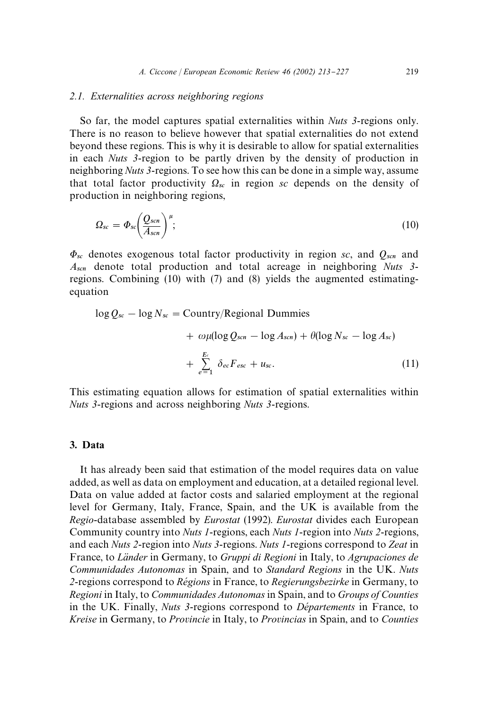### *2.1. Externalities across neighboring regions*

So far, the model captures spatial externalities within *Nuts 3*-regions only. There is no reason to believe however that spatial externalities do not extend beyond these regions. This is why it is desirable to allow for spatial externalities in each *Nuts 3*-region to be partly driven by the density of production in neighboring *Nuts 3*-regions. To see how this can be done in a simple way, assume that total factor productivity  $\Omega_{sc}$  in region  $sc$  depends on the density of production in neighboring regions,

$$
\Omega_{sc} = \Phi_{sc} \left( \frac{Q_{scn}}{A_{scn}} \right)^{\mu};\tag{10}
$$

 $\Phi_{sc}$  denotes exogenous total factor productivity in region  $sc$ , and  $Q_{scn}$  and *A*- denote total production and total acreage in neighboring *Nuts 3* regions. Combining (10) with (7) and (8) yields the augmented estimatingequation

# $\log Q_{\rm sc} - \log N_{\rm sc} = \text{Country/Regional Dummies}$

+ 
$$
\omega \mu(\log Q_{sen} - \log A_{sen}) + \theta(\log N_{sc} - \log A_{sc})
$$
  
+  $\sum_{e=1}^{E_c} \delta_{ec} F_{esc} + u_{sc}.$  (11)

This estimating equation allows for estimation of spatial externalities within *Nuts 3*-regions and across neighboring *Nuts 3*-regions.

## 3. Data

It has already been said that estimation of the model requires data on value added, as well as data on employment and education, at a detailed regional level. Data on value added at factor costs and salaried employment at the regional level for Germany, Italy, France, Spain, and the UK is available from the *Regio*-database assembled by *Eurostat* (1992). *Eurostat* divides each European Community country into *Nuts 1*-regions, each *Nuts 1*-region into *Nuts 2*-regions, and each *Nuts 2*-region into *Nuts 3*-regions. *Nuts 1*-regions correspond to *Zeat* in France, to *Länder* in Germany, to *Gruppi di Regioni* in Italy, to *Agrupaciones de Communidades Autonomas* in Spain, and to *Standard Regions* in the UK. *Nuts* 2-regions correspond to *Régions* in France, to *Regierungsbezirke* in Germany, to *Regioni* in Italy, to *Communidades Autonomas*in Spain, and to *Groups of Counties* in the UK. Finally, *Nuts 3*-regions correspond to *Départements* in France, to *Kreise* in Germany, to *Provincie* in Italy, to *Provincias* in Spain, and to *Counties*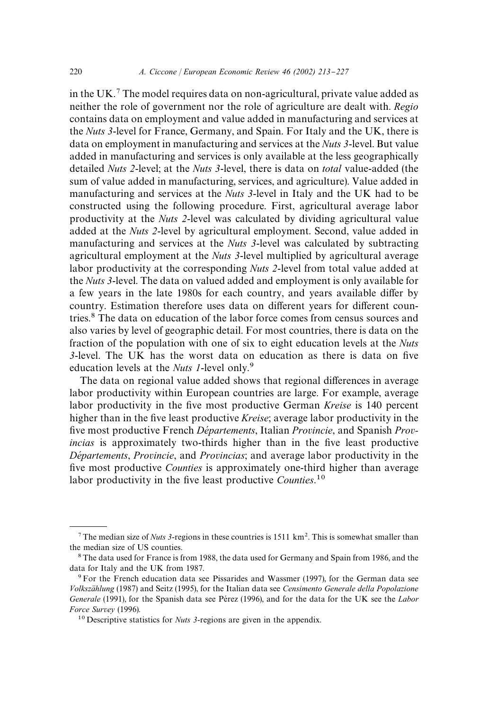in the UK.<sup>7</sup> The model requires data on non-agricultural, private value added as neither the role of government nor the role of agriculture are dealt with. *Regio* contains data on employment and value added in manufacturing and services at the *Nuts 3*-level for France, Germany, and Spain. For Italy and the UK, there is data on employment in manufacturing and services at the *Nuts 3*-level. But value added in manufacturing and services is only available at the less geographically detailed *Nuts 2*-level; at the *Nuts 3*-level, there is data on *total* value-added (the sum of value added in manufacturing, services, and agriculture). Value added in manufacturing and services at the *Nuts 3*-level in Italy and the UK had to be constructed using the following procedure. First, agricultural average labor productivity at the *Nuts 2*-level was calculated by dividing agricultural value added at the *Nuts 2*-level by agricultural employment. Second, value added in manufacturing and services at the *Nuts 3*-level was calculated by subtracting agricultural employment at the *Nuts 3*-level multiplied by agricultural average labor productivity at the corresponding *Nuts 2*-level from total value added at the *Nuts 3*-level. The data on valued added and employment is only available for a few years in the late 1980s for each country, and years available differ by country. Estimation therefore uses data on different years for different countries.<sup>8</sup> The data on education of the labor force comes from census sources and also varies by level of geographic detail. For most countries, there is data on the fraction of the population with one of six to eight education levels at the *Nuts*  $3$ -level. The UK has the worst data on education as there is data on five education levels at the *Nuts 1*-level only.

The data on regional value added shows that regional differences in average labor productivity within European countries are large. For example, average labor productivity in the five most productive German *Kreise* is 140 percent higher than in the five least productive *Kreise*; average labor productivity in the five most productive French *Départements*, Italian *Provincie*, and Spanish *Provincias* is approximately two-thirds higher than in the five least productive *De*& *partements*, *Provincie*, and *Provincias*; and average labor productivity in the five most productive *Counties* is approximately one-third higher than average labor productivity in the five least productive *Counties*.<sup>10</sup>

<sup>&</sup>lt;sup>7</sup> The median size of *Nuts 3*-regions in these countries is  $1511 \text{ km}^2$ . This is somewhat smaller than the median size of US counties.

<sup>&</sup>lt;sup>8</sup> The data used for France is from 1988, the data used for Germany and Spain from 1986, and the data for Italy and the UK from 1987.

For the French education data see Pissarides and Wassmer (1997), for the German data see *Volksza*( *hlung* (1987) and Seitz (1995), for the Italian data see *Censimento Generale della Popolazione Generale* (1991), for the Spanish data see Pérez (1996), and for the data for the UK see the *Labor Force Survey* (1996).

<sup>&</sup>lt;sup>10</sup> Descriptive statistics for *Nuts 3*-regions are given in the appendix.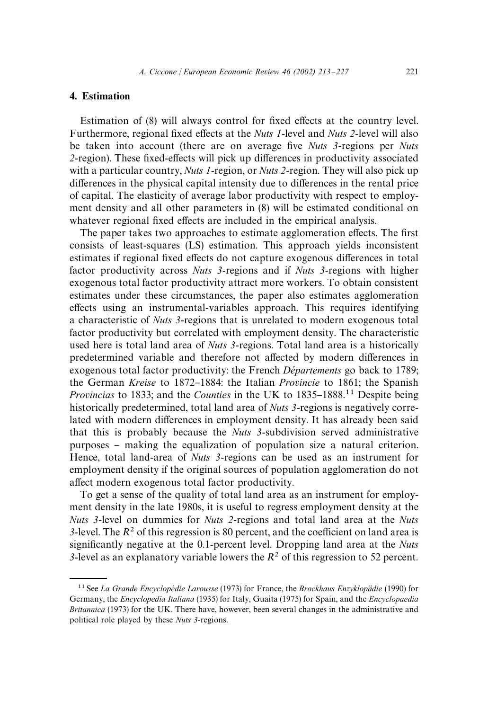# 4. Estimation

Estimation of  $(8)$  will always control for fixed effects at the country level. Furthermore, regional fixed effects at the *Nuts 1*-level and *Nuts 2*-level will also be taken into account (there are on average five *Nuts 3*-regions per *Nuts* 2-region). These fixed-effects will pick up differences in productivity associated with a particular country, *Nuts 1*-region, or *Nuts 2*-region. They will also pick up differences in the physical capital intensity due to differences in the rental price of capital. The elasticity of average labor productivity with respect to employment density and all other parameters in (8) will be estimated conditional on whatever regional fixed effects are included in the empirical analysis.

The paper takes two approaches to estimate agglomeration effects. The first consists of least-squares (LS) estimation. This approach yields inconsistent estimates if regional fixed effects do not capture exogenous differences in total factor productivity across *Nuts 3*-regions and if *Nuts 3*-regions with higher exogenous total factor productivity attract more workers. To obtain consistent estimates under these circumstances, the paper also estimates agglomeration effects using an instrumental-variables approach. This requires identifying a characteristic of *Nuts 3*-regions that is unrelated to modern exogenous total factor productivity but correlated with employment density. The characteristic used here is total land area of *Nuts 3*-regions. Total land area is a historically predetermined variable and therefore not affected by modern differences in exogenous total factor productivity: the French *Départements* go back to 1789; the German *Kreise* to 1872-1884: the Italian *Provincie* to 1861; the Spanish *Provincias* to 1833; and the *Counties* in the UK to 1835-1888.<sup>11</sup> Despite being historically predetermined, total land area of *Nuts 3*-regions is negatively correlated with modern differences in employment density. It has already been said that this is probably because the *Nuts 3*-subdivision served administrative purposes – making the equalization of population size a natural criterion. Hence, total land-area of *Nuts 3*-regions can be used as an instrument for employment density if the original sources of population agglomeration do not affect modern exogenous total factor productivity.

To get a sense of the quality of total land area as an instrument for employment density in the late 1980s, it is useful to regress employment density at the *Nuts 3*-level on dummies for *Nuts 2*-regions and total land area at the *Nuts 3*-level. The  $R^2$  of this regression is 80 percent, and the coefficient on land area is significantly negative at the 0.1-percent level. Dropping land area at the *Nuts 3*-level as an explanatory variable lowers the  $R<sup>2</sup>$  of this regression to 52 percent.

<sup>&</sup>lt;sup>11</sup> See *La Grande Encyclopédie Larousse* (1973) for France, the *Brockhaus Enzyklopädie* (1990) for Germany, the *Encyclopedia Italiana* (1935) for Italy, Guaita (1975) for Spain, and the *Encyclopaedia Britannica* (1973) for the UK. There have, however, been several changes in the administrative and political role played by these *Nuts 3*-regions.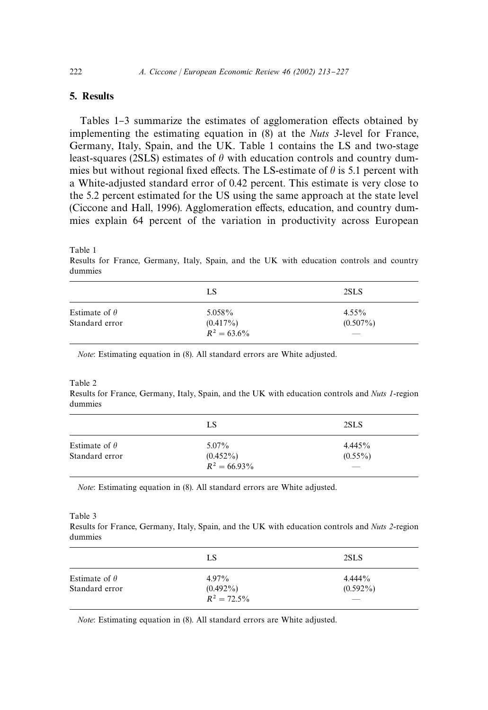# 5. Results

Tables 1-3 summarize the estimates of agglomeration effects obtained by implementing the estimating equation in (8) at the *Nuts 3*-level for France, Germany, Italy, Spain, and the UK. Table 1 contains the LS and two-stage least-squares (2SLS) estimates of  $\theta$  with education controls and country dummies but without regional fixed effects. The LS-estimate of  $\theta$  is 5.1 percent with a White-adjusted standard error of 0.42 percent. This estimate is very close to the 5.2 percent estimated for the US using the same approach at the state level (Ciccone and Hall, 1996). Agglomeration effects, education, and country dummies explain 64 percent of the variation in productivity across European

Table 1

Results for France, Germany, Italy, Spain, and the UK with education controls and country dummies

| LS                    | 2SLS                    |
|-----------------------|-------------------------|
| 5.058%<br>$(0.417\%)$ | $4.55\%$<br>$(0.507\%)$ |
|                       | $R^2 = 63.6\%$          |

*Note*: Estimating equation in (8). All standard errors are White adjusted.

#### Table 2

Results for France, Germany, Italy, Spain, and the UK with education controls and *Nuts 1*-region dummies

|                      | LS                             | 2SLS             |
|----------------------|--------------------------------|------------------|
| Estimate of $\theta$ | $5.07\%$                       | 4.445%           |
| Standard error       | $(0.452\%)$<br>$R^2 = 66.93\%$ | $(0.55\%)$<br>__ |

*Note*: Estimating equation in (8). All standard errors are White adjusted.

#### Table 3

Results for France, Germany, Italy, Spain, and the UK with education controls and *Nuts 2*-region dummies

|                                        | LS                      | 2SLS                     |
|----------------------------------------|-------------------------|--------------------------|
| Estimate of $\theta$<br>Standard error | $4.97\%$<br>$(0.492\%)$ | $4.444\%$<br>$(0.592\%)$ |
|                                        | $R^2 = 72.5\%$          | ___                      |

*Note*: Estimating equation in (8). All standard errors are White adjusted.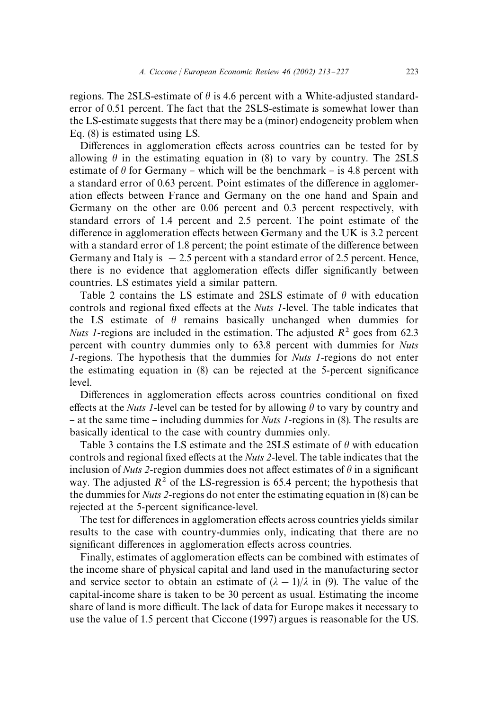regions. The 2SLS-estimate of  $\theta$  is 4.6 percent with a White-adjusted standarderror of 0.51 percent. The fact that the 2SLS-estimate is somewhat lower than the LS-estimate suggests that there may be a (minor) endogeneity problem when Eq. (8) is estimated using LS.

Differences in agglomeration effects across countries can be tested for by allowing  $\theta$  in the estimating equation in (8) to vary by country. The 2SLS estimate of  $\theta$  for Germany – which will be the benchmark – is 4.8 percent with a standard error of 0.63 percent. Point estimates of the difference in agglomeration effects between France and Germany on the one hand and Spain and Germany on the other are 0.06 percent and 0.3 percent respectively, with standard errors of 1.4 percent and 2.5 percent. The point estimate of the difference in agglomeration effects between Germany and the UK is 3.2 percent with a standard error of 1.8 percent; the point estimate of the difference between Germany and Italy is  $-2.5$  percent with a standard error of 2.5 percent. Hence, there is no evidence that agglomeration effects differ significantly between countries. LS estimates yield a similar pattern.

Table 2 contains the LS estimate and 2SLS estimate of  $\theta$  with education controls and regional fixed effects at the *Nuts 1*-level. The table indicates that the LS estimate of  $\theta$  remains basically unchanged when dummies for *Nuts 1*-regions are included in the estimation. The adjusted  $R^2$  goes from 62.3 percent with country dummies only to 63.8 percent with dummies for *Nuts 1*-regions. The hypothesis that the dummies for *Nuts 1*-regions do not enter the estimating equation in  $(8)$  can be rejected at the 5-percent significance level.

Differences in agglomeration effects across countries conditional on fixed effects at the *Nuts 1*-level can be tested for by allowing  $\theta$  to vary by country and } at the same time } including dummies for *Nuts 1*-regions in (8). The results are basically identical to the case with country dummies only.

Table 3 contains the LS estimate and the 2SLS estimate of  $\theta$  with education controls and regional fixed effects at the *Nuts 2*-level. The table indicates that the inclusion of *Nuts 2*-region dummies does not affect estimates of  $\theta$  in a significant way. The adjusted  $R^2$  of the LS-regression is 65.4 percent; the hypothesis that the dummies for *Nuts 2*-regions do not enter the estimating equation in (8) can be rejected at the 5-percent significance-level.

The test for differences in agglomeration effects across countries yields similar results to the case with country-dummies only, indicating that there are no significant differences in agglomeration effects across countries.

Finally, estimates of agglomeration effects can be combined with estimates of the income share of physical capital and land used in the manufacturing sector and service sector to obtain an estimate of  $(\lambda - 1)/\lambda$  in (9). The value of the capital-income share is taken to be 30 percent as usual. Estimating the income share of land is more difficult. The lack of data for Europe makes it necessary to use the value of 1.5 percent that Ciccone (1997) argues is reasonable for the US.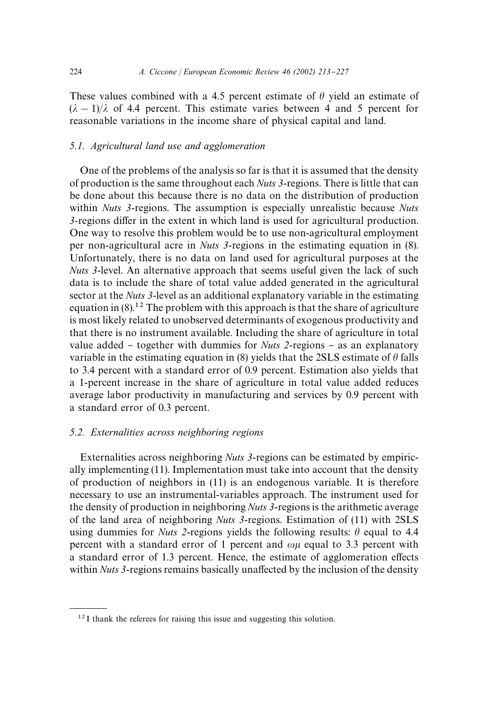These values combined with a 4.5 percent estimate of  $\theta$  yield an estimate of  $(\lambda - 1)/\lambda$  of 4.4 percent. This estimate varies between 4 and 5 percent for reasonable variations in the income share of physical capital and land.

# *5.1. Agricultural land use and agglomeration*

One of the problems of the analysis so far is that it is assumed that the density of production is the same throughout each *Nuts 3*-regions. There is little that can be done about this because there is no data on the distribution of production within *Nuts 3*-regions. The assumption is especially unrealistic because *Nuts* 3-regions differ in the extent in which land is used for agricultural production. One way to resolve this problem would be to use non-agricultural employment per non-agricultural acre in *Nuts 3*-regions in the estimating equation in (8). Unfortunately, there is no data on land used for agricultural purposes at the *Nuts 3*-level. An alternative approach that seems useful given the lack of such data is to include the share of total value added generated in the agricultural sector at the *Nuts 3*-level as an additional explanatory variable in the estimating equation in  $(8)^{12}$ . The problem with this approach is that the share of agriculture is most likely related to unobserved determinants of exogenous productivity and that there is no instrument available. Including the share of agriculture in total value added  $-$  together with dummies for *Nuts 2*-regions  $-$  as an explanatory variable in the estimating equation in (8) yields that the 2SLS estimate of  $\theta$  falls to 3.4 percent with a standard error of 0.9 percent. Estimation also yields that a 1-percent increase in the share of agriculture in total value added reduces average labor productivity in manufacturing and services by 0.9 percent with a standard error of 0.3 percent.

# *5.2. Externalities across neighboring regions*

Externalities across neighboring *Nuts 3*-regions can be estimated by empirically implementing (11). Implementation must take into account that the density of production of neighbors in (11) is an endogenous variable. It is therefore necessary to use an instrumental-variables approach. The instrument used for the density of production in neighboring *Nuts 3*-regions is the arithmetic average of the land area of neighboring *Nuts 3*-regions. Estimation of (11) with 2SLS using dummies for *Nuts* 2-regions yields the following results:  $\theta$  equal to 4.4 percent with a standard error of 1 percent and  $\omega\mu$  equal to 3.3 percent with a standard error of 1.3 percent. Hence, the estimate of agglomeration effects within *Nuts 3*-regions remains basically unaffected by the inclusion of the density

 $12$ I thank the referees for raising this issue and suggesting this solution.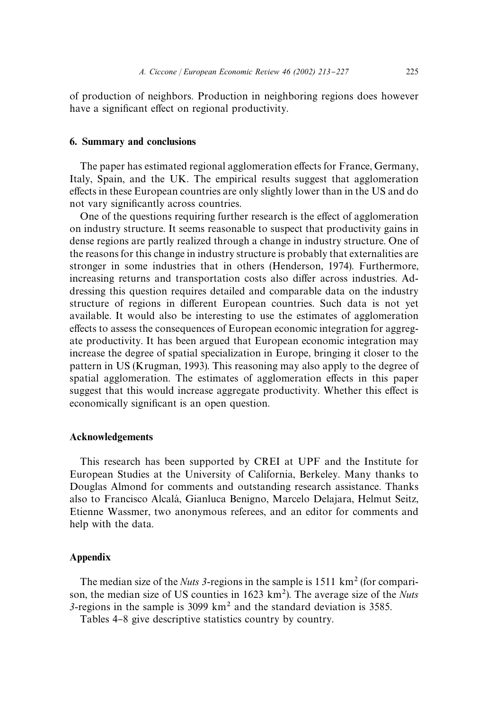of production of neighbors. Production in neighboring regions does however have a significant effect on regional productivity.

## 6. Summary and conclusions

The paper has estimated regional agglomeration effects for France, Germany, Italy, Spain, and the UK. The empirical results suggest that agglomeration effects in these European countries are only slightly lower than in the US and do not vary significantly across countries.

One of the questions requiring further research is the effect of agglomeration on industry structure. It seems reasonable to suspect that productivity gains in dense regions are partly realized through a change in industry structure. One of the reasons for this change in industry structure is probably that externalities are stronger in some industries that in others (Henderson, 1974). Furthermore, increasing returns and transportation costs also differ across industries. Addressing this question requires detailed and comparable data on the industry structure of regions in different European countries. Such data is not yet available. It would also be interesting to use the estimates of agglomeration effects to assess the consequences of European economic integration for aggregate productivity. It has been argued that European economic integration may increase the degree of spatial specialization in Europe, bringing it closer to the pattern in US (Krugman, 1993). This reasoning may also apply to the degree of spatial agglomeration. The estimates of agglomeration effects in this paper suggest that this would increase aggregate productivity. Whether this effect is economically significant is an open question.

## Acknowledgements

This research has been supported by CREI at UPF and the Institute for European Studies at the University of California, Berkeley. Many thanks to Douglas Almond for comments and outstanding research assistance. Thanks also to Francisco Alcalá, Gianluca Benigno, Marcelo Delajara, Helmut Seitz, Etienne Wassmer, two anonymous referees, and an editor for comments and help with the data.

# Appendix

The median size of the *Nuts 3*-regions in the sample is  $1511 \text{ km}^2$  (for comparison, the median size of US counties in 1623 km<sup>2</sup>). The average size of the *Nuts*  $3$ -regions in the sample is 3099 km<sup>2</sup> and the standard deviation is 3585.

Tables 4–8 give descriptive statistics country by country.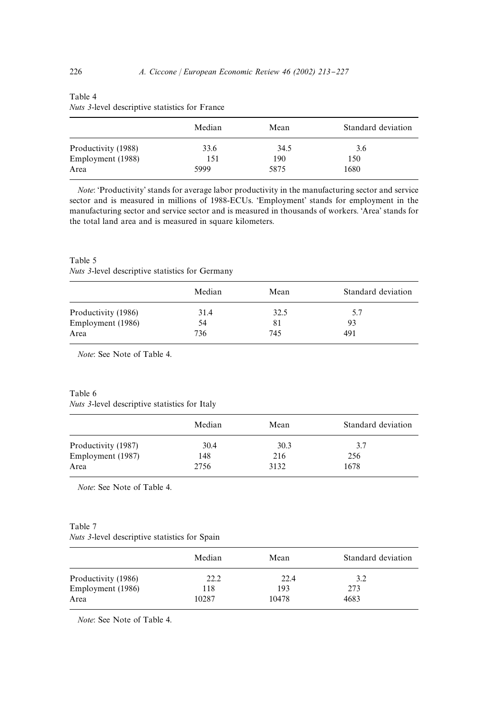|                     | Median | Mean | Standard deviation |
|---------------------|--------|------|--------------------|
| Productivity (1988) | 33.6   | 34.5 | 3.6                |
| Employment (1988)   | 151    | 190  | 150                |
| Area                | 5999   | 5875 | 1680               |

| Table 4                                                |  |  |
|--------------------------------------------------------|--|--|
| <i>Nuts 3</i> -level descriptive statistics for France |  |  |

*Note:* 'Productivity' stands for average labor productivity in the manufacturing sector and service sector and is measured in millions of 1988-ECUs. 'Employment' stands for employment in the manufacturing sector and service sector and is measured in thousands of workers. 'Area' stands for the total land area and is measured in square kilometers.

## Table 5 *Nuts 3*-level descriptive statistics for Germany

|                     | Median | Mean | Standard deviation |
|---------------------|--------|------|--------------------|
| Productivity (1986) | 31.4   | 32.5 | 5.7                |
| Employment (1986)   | 54     | 81   | 93                 |
| Area                | 736    | 745  | 491                |

*Note*: See Note of Table 4.

### Table 6 *Nuts 3*-level descriptive statistics for Italy

|                     | Median | Mean | Standard deviation |
|---------------------|--------|------|--------------------|
| Productivity (1987) | 30.4   | 30.3 | 3.7                |
| Employment (1987)   | 148    | 216  | 256                |
| Area                | 2756   | 3132 | 1678               |

*Note*: See Note of Table 4.

## Table 7 *Nuts 3*-level descriptive statistics for Spain

|                     | Median | Mean  | Standard deviation |
|---------------------|--------|-------|--------------------|
| Productivity (1986) | 22.2   | 22.4  | 3.2                |
| Employment (1986)   | 118    | 193   | 273                |
| Area                | 10287  | 10478 | 4683               |

*Note*: See Note of Table 4.